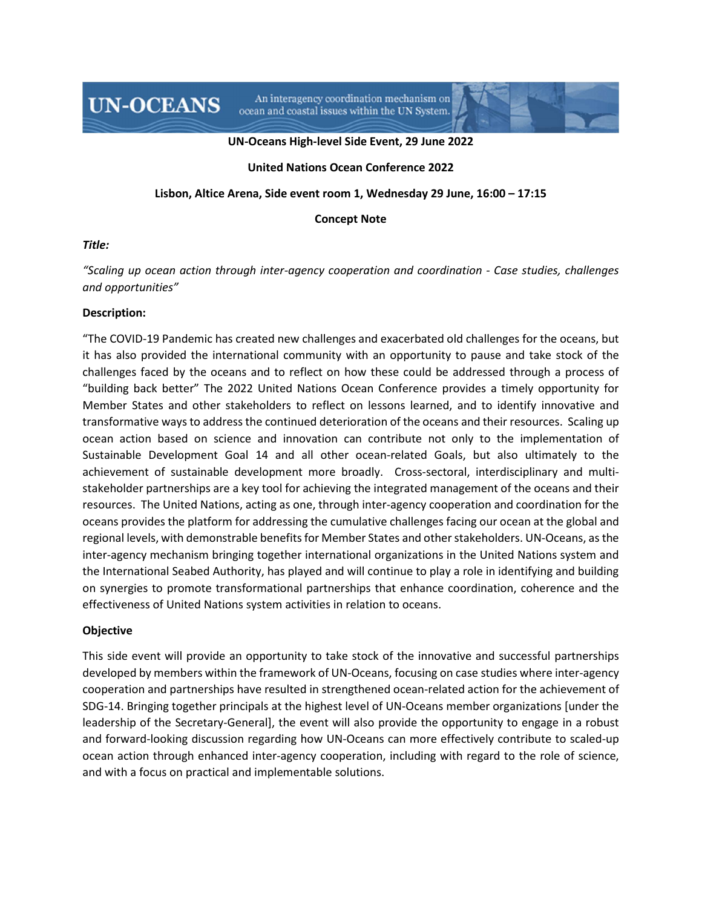An interagency coordination mechanism on ocean and coastal issues within the UN System.

#### **UN-Oceans High-level Side Event, 29 June 2022**

### **United Nations Ocean Conference 2022**

#### **Lisbon, Altice Arena, Side event room 1, Wednesday 29 June, 16:00 – 17:15**

#### **Concept Note**

#### *Title:*

*"Scaling up ocean action through inter-agency cooperation and coordination - Case studies, challenges and opportunities"* 

#### **Description:**

**UN-OCEANS** 

"The COVID-19 Pandemic has created new challenges and exacerbated old challenges for the oceans, but it has also provided the international community with an opportunity to pause and take stock of the challenges faced by the oceans and to reflect on how these could be addressed through a process of "building back better" The 2022 United Nations Ocean Conference provides a timely opportunity for Member States and other stakeholders to reflect on lessons learned, and to identify innovative and transformative ways to address the continued deterioration of the oceans and their resources. Scaling up ocean action based on science and innovation can contribute not only to the implementation of Sustainable Development Goal 14 and all other ocean-related Goals, but also ultimately to the achievement of sustainable development more broadly. Cross-sectoral, interdisciplinary and multistakeholder partnerships are a key tool for achieving the integrated management of the oceans and their resources. The United Nations, acting as one, through inter-agency cooperation and coordination for the oceans provides the platform for addressing the cumulative challenges facing our ocean at the global and regional levels, with demonstrable benefits for Member States and other stakeholders. UN-Oceans, as the inter-agency mechanism bringing together international organizations in the United Nations system and the International Seabed Authority, has played and will continue to play a role in identifying and building on synergies to promote transformational partnerships that enhance coordination, coherence and the effectiveness of United Nations system activities in relation to oceans.

## **Objective**

This side event will provide an opportunity to take stock of the innovative and successful partnerships developed by members within the framework of UN-Oceans, focusing on case studies where inter-agency cooperation and partnerships have resulted in strengthened ocean-related action for the achievement of SDG-14. Bringing together principals at the highest level of UN-Oceans member organizations [under the leadership of the Secretary-General], the event will also provide the opportunity to engage in a robust and forward-looking discussion regarding how UN-Oceans can more effectively contribute to scaled-up ocean action through enhanced inter-agency cooperation, including with regard to the role of science, and with a focus on practical and implementable solutions.